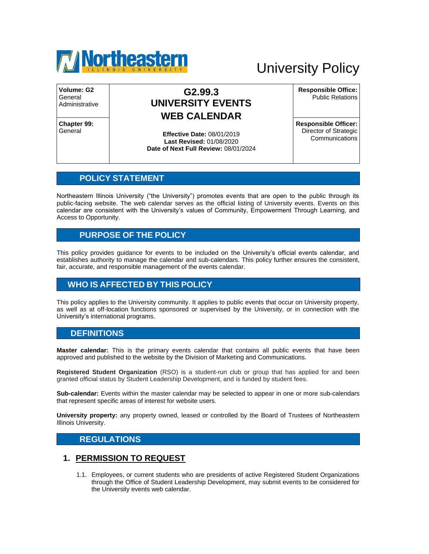

# University Policy

**Volume: G2** General Administrative

**Chapter 99: General** 

## **G2.99.3 UNIVERSITY EVENTS WEB CALENDAR**

**Effective Date:** 08/01/2019 **Last Revised:** 01/08/2020 **Date of Next Full Review:** 08/01/2024 **Responsible Office:** Public Relations

**Responsible Officer:** Director of Strategic Communications

#### **POLICY STATEMENT**

Northeastern Illinois University ("the University") promotes events that are open to the public through its public-facing website. The web calendar serves as the official listing of University events. Events on this calendar are consistent with the University's values of Community, Empowerment Through Learning, and Access to Opportunity.

#### **PURPOSE OF THE POLICY**

This policy provides guidance for events to be included on the University's official events calendar, and establishes authority to manage the calendar and sub-calendars. This policy further ensures the consistent, fair, accurate, and responsible management of the events calendar.

## **WHO IS AFFECTED BY THIS POLICY**

This policy applies to the University community. It applies to public events that occur on University property, as well as at off-location functions sponsored or supervised by the University, or in connection with the University's international programs.

#### **DEFINITIONS**

**Master calendar:** This is the primary events calendar that contains all public events that have been approved and published to the website by the Division of Marketing and Communications.

**Registered Student Organization** (RSO) is a student-run club or group that has applied for and been granted official status by Student Leadership Development, and is funded by student fees.

**Sub-calendar:** Events within the master calendar may be selected to appear in one or more sub-calendars that represent specific areas of interest for website users.

**University property:** any property owned, leased or controlled by the Board of Trustees of Northeastern Illinois University.

#### **REGULATIONS**

#### **1. PERMISSION TO REQUEST**

1.1. Employees, or current students who are presidents of active Registered Student Organizations through the Office of Student Leadership Development, may submit events to be considered for the University events web calendar.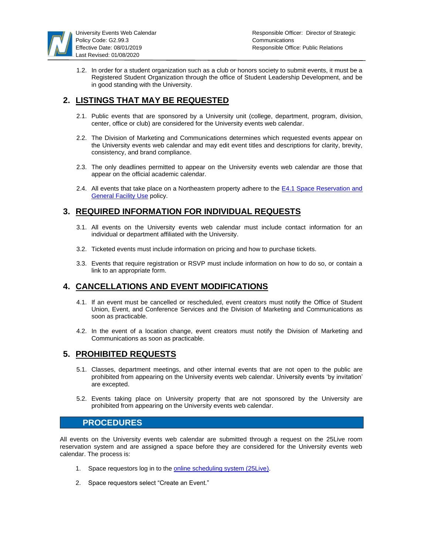

1.2. In order for a student organization such as a club or honors society to submit events, it must be a Registered Student Organization through the office of Student Leadership Development, and be in good standing with the University.

### **2. LISTINGS THAT MAY BE REQUESTED**

- 2.1. Public events that are sponsored by a University unit (college, department, program, division, center, office or club) are considered for the University events web calendar.
- 2.2. The Division of Marketing and Communications determines which requested events appear on the University events web calendar and may edit event titles and descriptions for clarity, brevity, consistency, and brand compliance.
- 2.3. The only deadlines permitted to appear on the University events web calendar are those that appear on the official academic calendar.
- 2.4. All events that take place on a Northeastern property adhere to the **E4.1 Space Reservation and** [General Facility Use](https://www.neiu.edu/sites/neiu.edu/files/documents/ktvoigt/Pol_E4.1_Space_Res_Gen_Fac_Use_Revision_FINAL.pdf) policy.

#### **3. REQUIRED INFORMATION FOR INDIVIDUAL REQUESTS**

- 3.1. All events on the University events web calendar must include contact information for an individual or department affiliated with the University.
- 3.2. Ticketed events must include information on pricing and how to purchase tickets.
- 3.3. Events that require registration or RSVP must include information on how to do so, or contain a link to an appropriate form.

#### **4. CANCELLATIONS AND EVENT MODIFICATIONS**

- 4.1. If an event must be cancelled or rescheduled, event creators must notify the Office of Student Union, Event, and Conference Services and the Division of Marketing and Communications as soon as practicable.
- 4.2. In the event of a location change, event creators must notify the Division of Marketing and Communications as soon as practicable.

#### **5. PROHIBITED REQUESTS**

- 5.1. Classes, department meetings, and other internal events that are not open to the public are prohibited from appearing on the University events web calendar. University events 'by invitation' are excepted.
- 5.2. Events taking place on University property that are not sponsored by the University are prohibited from appearing on the University events web calendar.

#### **PROCEDURES**

All events on the University events web calendar are submitted through a request on the 25Live room reservation system and are assigned a space before they are considered for the University events web calendar. The process is:

- 1. Space requestors log in to the [online scheduling system \(25Live\).](https://25live.collegenet.com/neiu/#home_my25live[0])
- 2. Space requestors select "Create an Event."